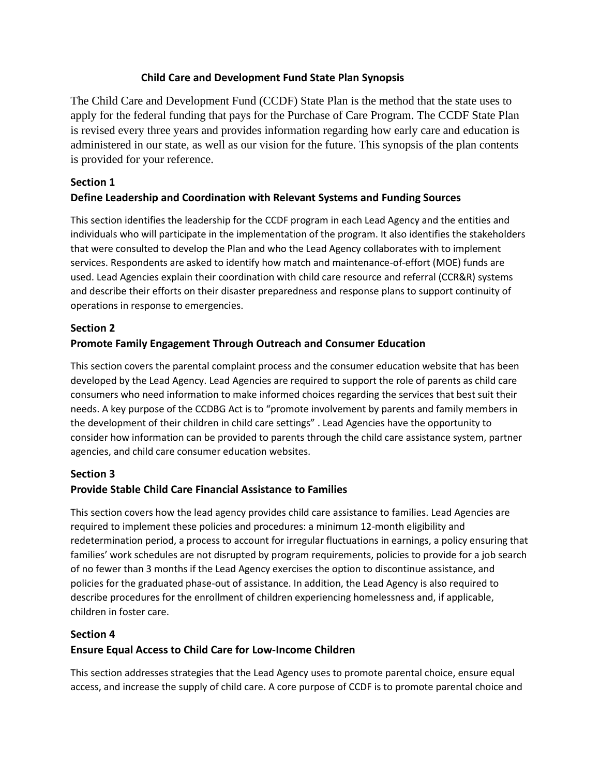### **Child Care and Development Fund State Plan Synopsis**

The Child Care and Development Fund (CCDF) State Plan is the method that the state uses to apply for the federal funding that pays for the Purchase of Care Program. The CCDF State Plan is revised every three years and provides information regarding how early care and education is administered in our state, as well as our vision for the future. This synopsis of the plan contents is provided for your reference.

#### **Section 1**

### **Define Leadership and Coordination with Relevant Systems and Funding Sources**

This section identifies the leadership for the CCDF program in each Lead Agency and the entities and individuals who will participate in the implementation of the program. It also identifies the stakeholders that were consulted to develop the Plan and who the Lead Agency collaborates with to implement services. Respondents are asked to identify how match and maintenance-of-effort (MOE) funds are used. Lead Agencies explain their coordination with child care resource and referral (CCR&R) systems and describe their efforts on their disaster preparedness and response plans to support continuity of operations in response to emergencies.

#### **Section 2**

### **Promote Family Engagement Through Outreach and Consumer Education**

This section covers the parental complaint process and the consumer education website that has been developed by the Lead Agency. Lead Agencies are required to support the role of parents as child care consumers who need information to make informed choices regarding the services that best suit their needs. A key purpose of the CCDBG Act is to "promote involvement by parents and family members in the development of their children in child care settings" . Lead Agencies have the opportunity to consider how information can be provided to parents through the child care assistance system, partner agencies, and child care consumer education websites.

#### **Section 3**

#### **Provide Stable Child Care Financial Assistance to Families**

This section covers how the lead agency provides child care assistance to families. Lead Agencies are required to implement these policies and procedures: a minimum 12-month eligibility and redetermination period, a process to account for irregular fluctuations in earnings, a policy ensuring that families' work schedules are not disrupted by program requirements, policies to provide for a job search of no fewer than 3 months if the Lead Agency exercises the option to discontinue assistance, and policies for the graduated phase-out of assistance. In addition, the Lead Agency is also required to describe procedures for the enrollment of children experiencing homelessness and, if applicable, children in foster care.

#### **Section 4**

#### **Ensure Equal Access to Child Care for Low-Income Children**

This section addresses strategies that the Lead Agency uses to promote parental choice, ensure equal access, and increase the supply of child care. A core purpose of CCDF is to promote parental choice and